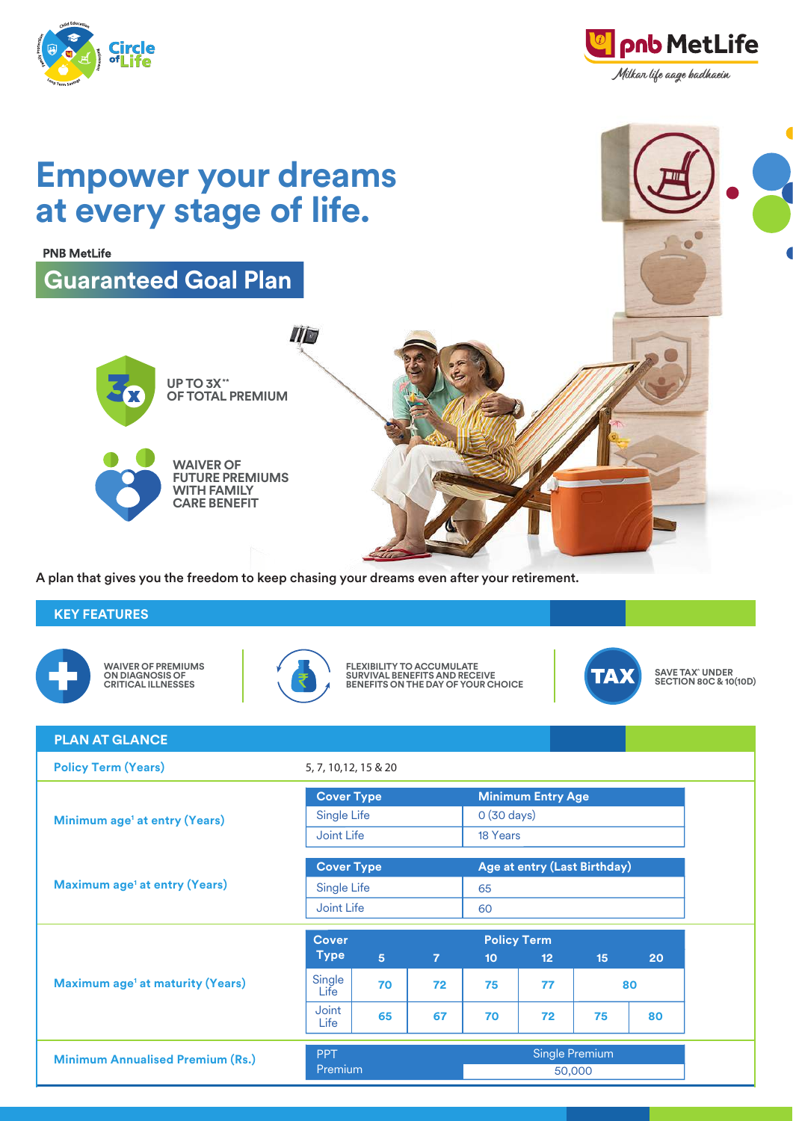

A plan that gives you the freedom to keep chasing your dreams even after your retirement.

# **KEY FEATURES**



**WAIVER OF PREMIUMS ON DIAGNOSIS OF CRITICAL ILLNESSES**



**FLEXIBILITY TO ACCUMULATE SURVIVAL BENEFITS AND RECEIVE BENEFITS ON THE DAY OF YOUR CHOICE**



**SAVE TAX^ UNDER SECTION 80C & 10(10D)**

| <b>PLAN AT GLANCE</b>                              |                       |                |                |                              |                       |    |    |  |
|----------------------------------------------------|-----------------------|----------------|----------------|------------------------------|-----------------------|----|----|--|
| <b>Policy Term (Years)</b>                         | 5, 7, 10, 12, 15 & 20 |                |                |                              |                       |    |    |  |
|                                                    | <b>Cover Type</b>     |                |                | <b>Minimum Entry Age</b>     |                       |    |    |  |
| Minimum age <sup>1</sup> at entry (Years)          |                       | Single Life    |                |                              | $0(30 \text{ days})$  |    |    |  |
|                                                    | Joint Life            |                |                | 18 Years                     |                       |    |    |  |
| <b>Maximum age<sup>1</sup> at entry (Years)</b>    | <b>Cover Type</b>     |                |                | Age at entry (Last Birthday) |                       |    |    |  |
|                                                    |                       | Single Life    |                |                              | 65                    |    |    |  |
|                                                    | Joint Life            |                |                | 60                           |                       |    |    |  |
| <b>Maximum age<sup>1</sup> at maturity (Years)</b> | <b>Cover</b>          |                |                | <b>Policy Term</b>           |                       |    |    |  |
|                                                    | <b>Type</b>           | 5 <sup>5</sup> | $\overline{7}$ | 10 <sub>1</sub>              | 12                    | 15 | 20 |  |
|                                                    | Single<br>Life        | 70<br>72       |                | 75                           | 77                    | 80 |    |  |
|                                                    | Joint<br>Life         | 65             | 67             | 70                           | 72                    | 75 | 80 |  |
| <b>Minimum Annualised Premium (Rs.)</b>            | <b>PPT</b>            | Premium        |                |                              | <b>Single Premium</b> |    |    |  |
|                                                    |                       |                |                |                              | 50,000                |    |    |  |